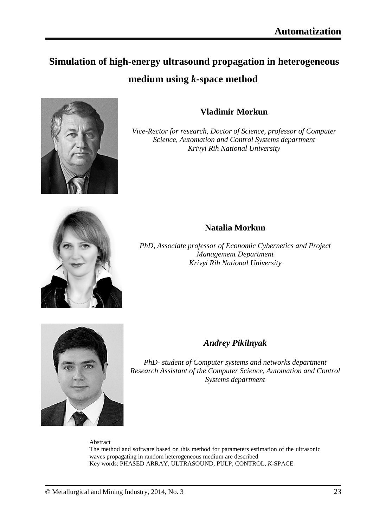# **Simulation of high-energy ultrasound propagation in heterogeneous medium using** *k***-space method**



### **Vladimir Morkun**

*Vice-Rector for research, Doctor of Science, professor of Computer Science, Automation and Control Systems department Krivyi Rih National University*



## **Natalia Morkun**

*PhD, Associate professor of Economic Cybernetics and Project Management Department Krivyi Rih National University*



# *Andrey Pikilnyak*

*PhD- student of Computer systems and networks department Research Assistant of the Computer Science, Automation and Control Systems department*

Abstract The method and software based on this method for parameters estimation of the ultrasonic waves propagating in random heterogeneous medium are described Key words: PHASED ARRAY, ULTRASOUND, PULP, CONTROL, *K*-SPACE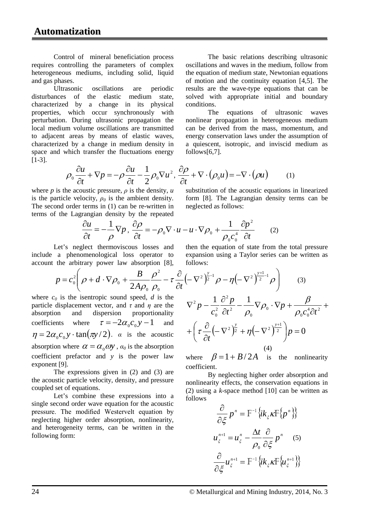Control of mineral beneficiation process requires controlling the parameters of complex heterogeneous mediums, including solid, liquid and gas phases.

Ultrasonic oscillations are periodic disturbances of the elastic medium state, characterized by a change in its physical properties, which occur synchronously with perturbation. During ultrasonic propagation the local medium volume oscillations are transmitted to adjacent areas by means of elastic waves, characterized by a change in medium density in space and which transfer the fluctuations energy [1-3].

The basic relations describing ultrasonic oscillations and waves in the medium, follow from the equation of medium state, Newtonian equations of motion and the continuity equation [4,5]. The results are the wave-type equations that can be solved with appropriate initial and boundary conditions.

The equations of ultrasonic waves nonlinear propagation in heterogeneous medium can be derived from the mass, momentum, and energy conservation laws under the assumption of a quiescent, isotropic, and inviscid medium as follows[6,7].

$$
\rho_0 \frac{\partial u}{\partial t} + \nabla p = -\rho \frac{\partial u}{\partial t} - \frac{1}{2} \rho_0 \nabla u^2, \frac{\partial \rho}{\partial t} + \nabla \cdot (\rho_0 u) = -\nabla \cdot (\rho u) \tag{1}
$$

where *p* is the acoustic pressure,  $\rho$  is the density, *u* is the particle velocity,  $\rho_0$  is the ambient density. The second order terms in (1) can be re-written in terms of the Lagrangian density by the repeated substitution of the acoustic equations in linearized form [8]. The Lagrangian density terms can be neglected as follows:

$$
\frac{\partial u}{\partial t} = -\frac{1}{\rho} \nabla p, \frac{\partial \rho}{\partial t} = -\rho_0 \nabla \cdot u - u \cdot \nabla \rho_0 + \frac{1}{\rho_0 c_0^4} \frac{\partial p^2}{\partial t} \qquad (2)
$$

Let's neglect thermoviscous losses and include a phenomenological loss operator to account the arbitrary power law absorption [8], then the equation of state from the total pressure expansion using a Taylor series can be written as follows:

$$
p = c_0^2 \left( \rho + d \cdot \nabla \rho_0 + \frac{B}{2A\rho_0} \frac{\rho^2}{\rho_0} - \tau \frac{\partial}{\partial t} \left( -\nabla^2 \right)^{\frac{y}{2}-1} \rho - \eta \left( -\nabla^2 \right)^{\frac{y+1}{2}-1} \rho \right) \tag{3}
$$
  
where  $c_0$  is the isentropic sound speed,  $d$  is the particle displacement vector, and  $\tau$  and  $\eta$  are the  
absorption and dispersion proportionality 
$$
\nabla^2 p - \frac{1}{c_0^2} \frac{\partial^2 p}{\partial t^2} - \frac{1}{\rho_0} \nabla \rho_0 \cdot \nabla p + \frac{\beta}{\rho_0 c_0^4 \partial t^2} + \rho_0 \nabla \rho_0 \cdot \nabla p
$$

 $(-\nabla^2)^{\frac{1}{2}} + \eta(-\nabla^2)^{\frac{1}{2}}$   $|p=0$  $\left(\tau \frac{\partial}{\partial t}(-\nabla^2)^{\frac{y}{2}} + \eta(-\nabla^2)^{\frac{y+1}{2}}\right)p =$  $\setminus$  $\int \frac{\partial}{\partial z} (-\nabla^2)^{\frac{y}{2}} + \eta(-\nabla^2)$ ∂ ∂  $+\left(\tau \frac{\partial}{\partial (-\nabla^2)^{\frac{y}{2}}} + \eta (-\nabla^2)^{\frac{y}{2}}\right)$ *p t y y y y*  $\tau = (-V^-)^2 + \eta$ (4)

where  $\beta = 1 + B/2A$  is the nonlinearity coefficient.

By neglecting higher order absorption and nonlinearity effects, the conservation equations in (2) using a *k*-space method [10] can be written as follows

$$
\frac{\partial}{\partial \xi} p^n = \mathbb{F}^{-1} \{ ik_{\xi} \kappa \mathbb{F} \{ p^n \} \}
$$

$$
u_{\xi}^{n+1} = u_{\xi}^n - \frac{\Delta t}{\rho_0} \frac{\partial}{\partial \xi} p^n \quad (5)
$$

$$
\frac{\partial}{\partial \xi} u_{\xi}^{n+1} = \mathbb{F}^{-1} \{ ik_{\xi} \kappa \mathbb{F} \{ u_{\xi}^{n+1} \} \}
$$

coefficients where  $\tau = -2\alpha_0 c_0 y - 1$  and  $\eta = 2\alpha_0 c_0 y \cdot \tan(\pi y/2)$ .  $\alpha$  is the acoustic absorption where  $\alpha = \alpha_0 \omega y$ ,  $\alpha_0$  is the absorption coefficient prefactor and *y* is the power law exponent [9]. The expressions given in (2) and (3) are

the acoustic particle velocity, density, and pressure coupled set of equations.

Let's combine these expressions into a single second order wave equation for the acoustic pressure. The modified Westervelt equation by neglecting higher order absorption, nonlinearity, and heterogeneity terms, can be written in the following form:

particle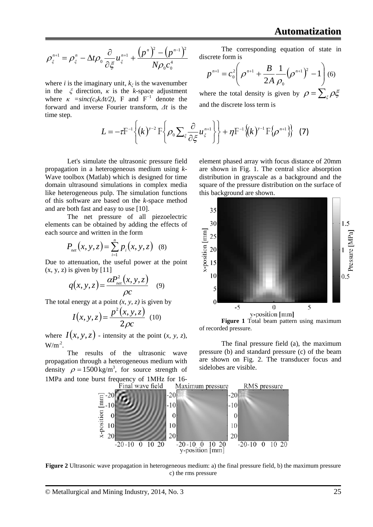$$
\rho_{\xi}^{n+1} = \rho_{\xi}^{n} - \Delta t \rho_{0} \frac{\partial}{\partial \xi} u_{\xi}^{n+1} + \frac{(p^{n})^{2} - (p^{n-1})^{2}}{N \rho_{0} c_{0}^{4}}
$$

where *i* is the imaginary unit,  $k_{\xi}$  is the wavenumber in the *ξ* direction, *κ* is the *k*-space adjustment where  $\kappa$  =sinc(c<sub>0</sub>k $\Delta$ *t*/2), F and  $F^{-1}$  denote the forward and inverse Fourier transform, *Δt* is the time step.

$$
L=-\tau\mathbb{F}^{-1}\left\{(k)^{y-2}\,\mathbb{F}\left\{\rho_0\sum_{\xi}\frac{\partial}{\partial\xi}u_{\xi}^{n+1}\right\}\right\}+\eta\mathbb{F}^{-1}\left\{(k)^{y-1}\,\mathbb{F}\left\{\rho^{n+1}\right\}\right\}\quad(7)
$$

Let's simulate the ultrasonic pressure field propagation in a heterogeneous medium using *k*-Wave toolbox (Matlab) which is designed for time domain ultrasound simulations in complex media like heterogeneous pulp. The simulation functions of this software are based on the *k*-space method and are both fast and easy to use [10].

The net pressure of all piezoelectric elements can be obtained by adding the effects of each source and written in the form

$$
P_{net}(x, y, z) = \sum_{i=1}^{n} p_i(x, y, z)
$$
 (8)

Due to attenuation, the useful power at the point  $(x, y, z)$  is given by [11]

$$
q(x, y, z) = \frac{\alpha P_{\text{net}}^2(x, y, z)}{\rho c}
$$
 (9)

The total energy at a point *(x, y, z)* is given by

$$
I(x, y, z) = \frac{p^{2}(x, y, z)}{2\rho c}
$$
 (10)

where  $I(x, y, z)$  - intensity at the point  $(x, y, z)$ ,  $W/m^2$ .

The results of the ultrasonic wave propagation through a heterogeneous medium with density  $\rho = 1500 \text{ kg/m}^3$ , for source strength of

The corresponding equation of state in discrete form is

$$
p^{n+1} = c_0^2 \left( \rho^{n+1} + \frac{B}{2A} \frac{1}{\rho_0} (\rho^{n+1})^2 - 1 \right) (6)
$$

where the total density is given by  $\rho = \sum_{\xi} \rho \xi$ and the discrete loss term is

element phased array with focus distance of 20mm are shown in Fig. 1. The central slice absorption distribution in grayscale as a background and the square of the pressure distribution on the surface of this background are shown.





The final pressure field (a), the maximum pressure (b) and standard pressure (c) of the beam are shown on Fig. 2. The transducer focus and sidelobes are visible.



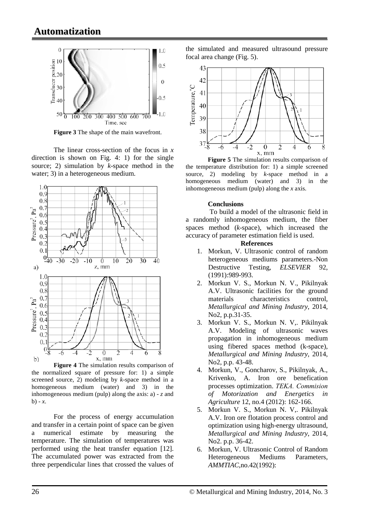

**Figure 3** The shape of the main wavefront.

The linear cross-section of the focus in *x*  direction is shown on Fig. 4: 1) for the single source; 2) simulation by *k*-space method in the water; 3) in a heterogeneous medium.



**Figure 4** The simulation results comparison of the normalized square of pressure for:  $1$ ) a simple screened source, 2) modeling by *k*-space method in a homogeneous medium (water) and 3) in the inhomogeneous medium (pulp) along the axis: a) - *z* and b) -  $x$ .

For the process of energy accumulation and transfer in a certain point of space can be given a numerical estimate by measuring the temperature. The simulation of temperatures was performed using the heat transfer equation [12]. The accumulated power was extracted from the three perpendicular lines that crossed the values of the simulated and measured ultrasound pressure focal area change (Fig. 5).



**Figure 5** The simulation results comparison of the temperature distribution for: 1) a simple screened source, 2) modeling by *k*-space method in a homogeneous medium (water) and 3) in the inhomogeneous medium (pulp) along the *x* axis.

### **Conclusions**

To build a model of the ultrasonic field in a randomly inhomogeneous medium, the fiber spaces method (*k*-space), which increased the accuracy of parameter estimation field is used.

### **References**

- 1. Morkun, V. Ultrasonic control of random heterogeneous mediums parameters.-Non Destructive Testing, *ELSEVIER* 92, (1991):989-993.
- 2. Morkun V. S., Morkun N. V., Pikilnyak A.V. [Ultrasonic facilities for the ground](http://www.metaljournal.com.ua/ultrasonic-facilities-for-the-ground-materials-characteristics-control/)  materials characteristics control *Metallurgical and Mining Industry*, 2014, No2, p.p.31-35.
- 3. Morkun V. S., Morkun N. V,. Pikilnyak A.V. Modeling of ultrasonic waves propagation in inhomogeneous medium using fibered spaces method (k-space), *Metallurgical and Mining Industry*, 2014, No2, p.p. 43-48.
- 4. Morkun, V., Goncharov, S., Pikilnyak, A., Krivenko, A. Iron ore benefication processes optimization. *ТЕKA. Commision of Motorization and Energetics in Agriculture* 12, no.4 (2012): 162-166.
- 5. Morkun V. S., Morkun N. V,. Pikilnyak A.V. Iron ore flotation process control and optimization using high-energy ultrasound, *Metallurgical and Mining Industry*, 2014, No2. p.p. 36-42.
- 6. Morkun, V. Ultrasonic Control of Random Heterogeneous Mediums Parameters, *AMMTIAC*,no.42(1992):